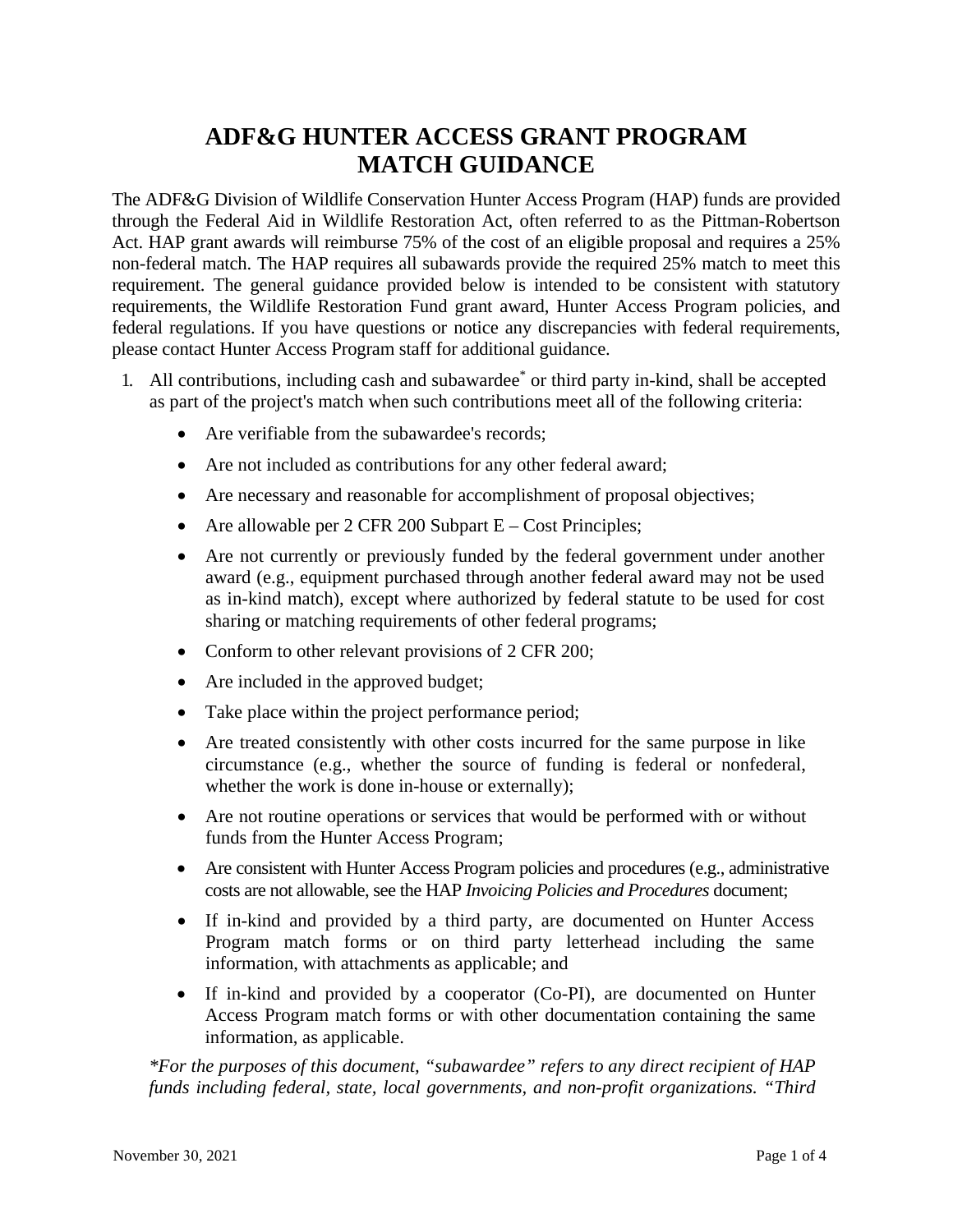# **ADF&G HUNTER ACCESS GRANT PROGRAM MATCH GUIDANCE**

The ADF&G Division of Wildlife Conservation Hunter Access Program (HAP) funds are provided through the Federal Aid in Wildlife Restoration Act, often referred to as the Pittman-Robertson Act. HAP grant awards will reimburse 75% of the cost of an eligible proposal and requires a 25% non-federal match. The HAP requires all subawards provide the required 25% match to meet this requirement. The general guidance provided below is intended to be consistent with statutory requirements, the Wildlife Restoration Fund grant award, Hunter Access Program policies, and federal regulations. If you have questions or notice any discrepancies with federal requirements, please contact Hunter Access Program staff for additional guidance.

- 1. All contributions, including cash and subawardee\* or third party in-kind, shall be accepted as part of the project's match when such contributions meet all of the following criteria:
	- Are verifiable from the subawardee's records:
	- Are not included as contributions for any other federal award;
	- Are necessary and reasonable for accomplishment of proposal objectives;
	- Are allowable per  $2$  CFR 200 Subpart  $E Cost$  Principles;
	- Are not currently or previously funded by the federal government under another award (e.g., equipment purchased through another federal award may not be used as in-kind match), except where authorized by federal statute to be used for cost sharing or matching requirements of other federal programs;
	- Conform to other relevant provisions of 2 CFR 200;
	- Are included in the approved budget;
	- Take place within the project performance period;
	- Are treated consistently with other costs incurred for the same purpose in like circumstance (e.g., whether the source of funding is federal or nonfederal, whether the work is done in-house or externally);
	- Are not routine operations or services that would be performed with or without funds from the Hunter Access Program;
	- Are consistent with Hunter Access Program policies and procedures (e.g., administrative costs are not allowable, see the HAP *Invoicing Policies and Procedures* document;
	- If in-kind and provided by a third party, are documented on Hunter Access Program match forms or on third party letterhead including the same information, with attachments as applicable; and
	- If in-kind and provided by a cooperator (Co-PI), are documented on Hunter Access Program match forms or with other documentation containing the same information, as applicable.

*\*For the purposes of this document, "subawardee" refers to any direct recipient of HAP funds including federal, state, local governments, and non-profit organizations. "Third*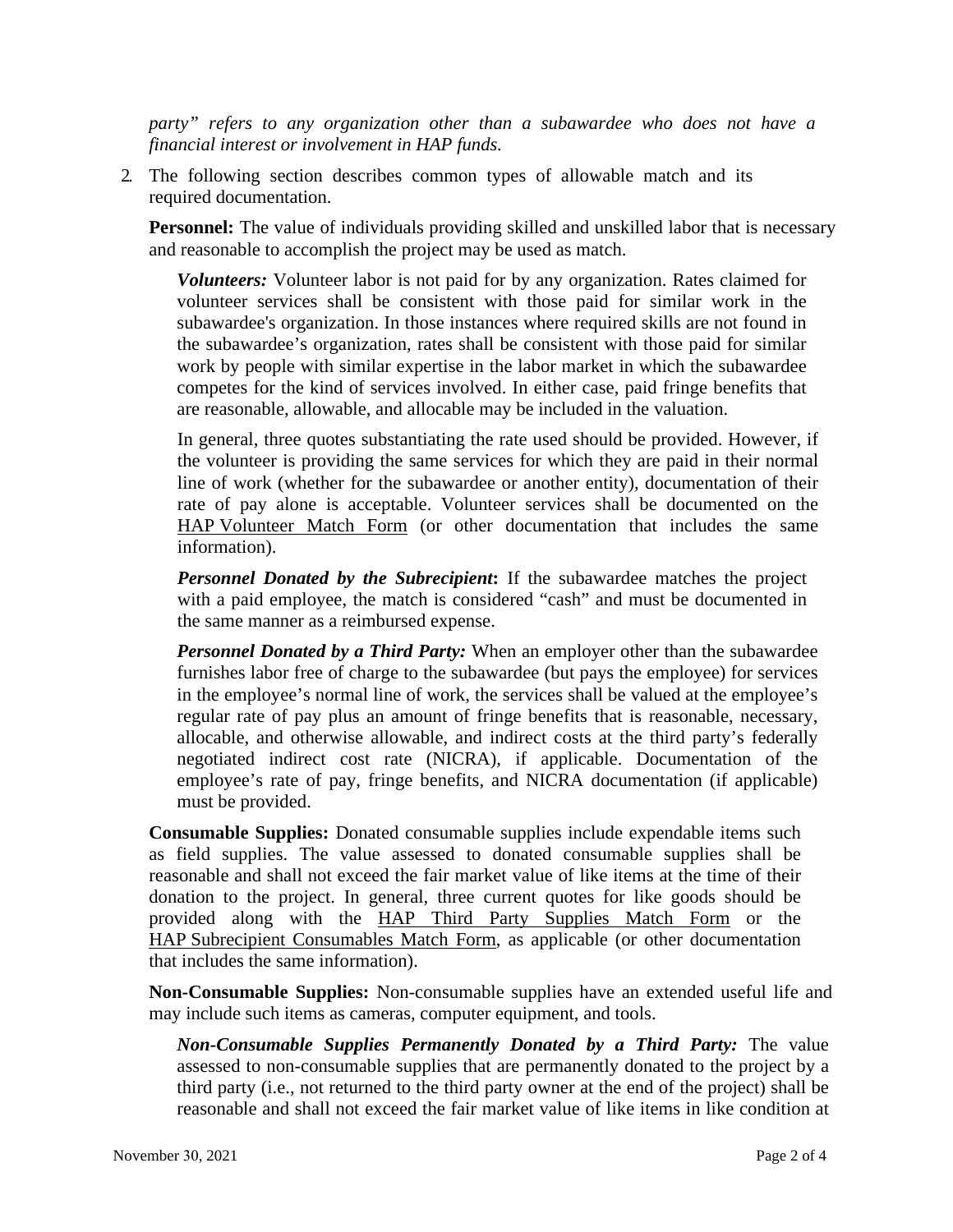*party" refers to any organization other than a subawardee who does not have a financial interest or involvement in HAP funds.* 

2. The following section describes common types of allowable match and its required documentation.

**Personnel:** The value of individuals providing skilled and unskilled labor that is necessary and reasonable to accomplish the project may be used as match.

*Volunteers:* Volunteer labor is not paid for by any organization. Rates claimed for volunteer services shall be consistent with those paid for similar work in the subawardee's organization. In those instances where required skills are not found in the subawardee's organization, rates shall be consistent with those paid for similar work by people with similar expertise in the labor market in which the subawardee competes for the kind of services involved. In either case, paid fringe benefits that are reasonable, allowable, and allocable may be included in the valuation.

In general, three quotes substantiating the rate used should be provided. However, if the volunteer is providing the same services for which they are paid in their normal line of work (whether for the subawardee or another entity), documentation of their rate of pay alone is acceptable. Volunteer services shall be documented on the HAP Volunteer Match Form (or other documentation that includes the same information).

*Personnel Donated by the Subrecipient***:** If the subawardee matches the project with a paid employee, the match is considered "cash" and must be documented in the same manner as a reimbursed expense.

*Personnel Donated by a Third Party:* When an employer other than the subawardee furnishes labor free of charge to the subawardee (but pays the employee) for services in the employee's normal line of work, the services shall be valued at the employee's regular rate of pay plus an amount of fringe benefits that is reasonable, necessary, allocable, and otherwise allowable, and indirect costs at the third party's federally negotiated indirect cost rate (NICRA), if applicable. Documentation of the employee's rate of pay, fringe benefits, and NICRA documentation (if applicable) must be provided.

**Consumable Supplies:** Donated consumable supplies include expendable items such as field supplies. The value assessed to donated consumable supplies shall be reasonable and shall not exceed the fair market value of like items at the time of their donation to the project. In general, three current quotes for like goods should be provided along with the HAP Third Party Supplies Match Form or the HAP Subrecipient Consumables Match Form, as applicable (or other documentation that includes the same information).

**Non-Consumable Supplies:** Non-consumable supplies have an extended useful life and may include such items as cameras, computer equipment, and tools.

*Non-Consumable Supplies Permanently Donated by a Third Party:* The value assessed to non-consumable supplies that are permanently donated to the project by a third party (i.e., not returned to the third party owner at the end of the project) shall be reasonable and shall not exceed the fair market value of like items in like condition at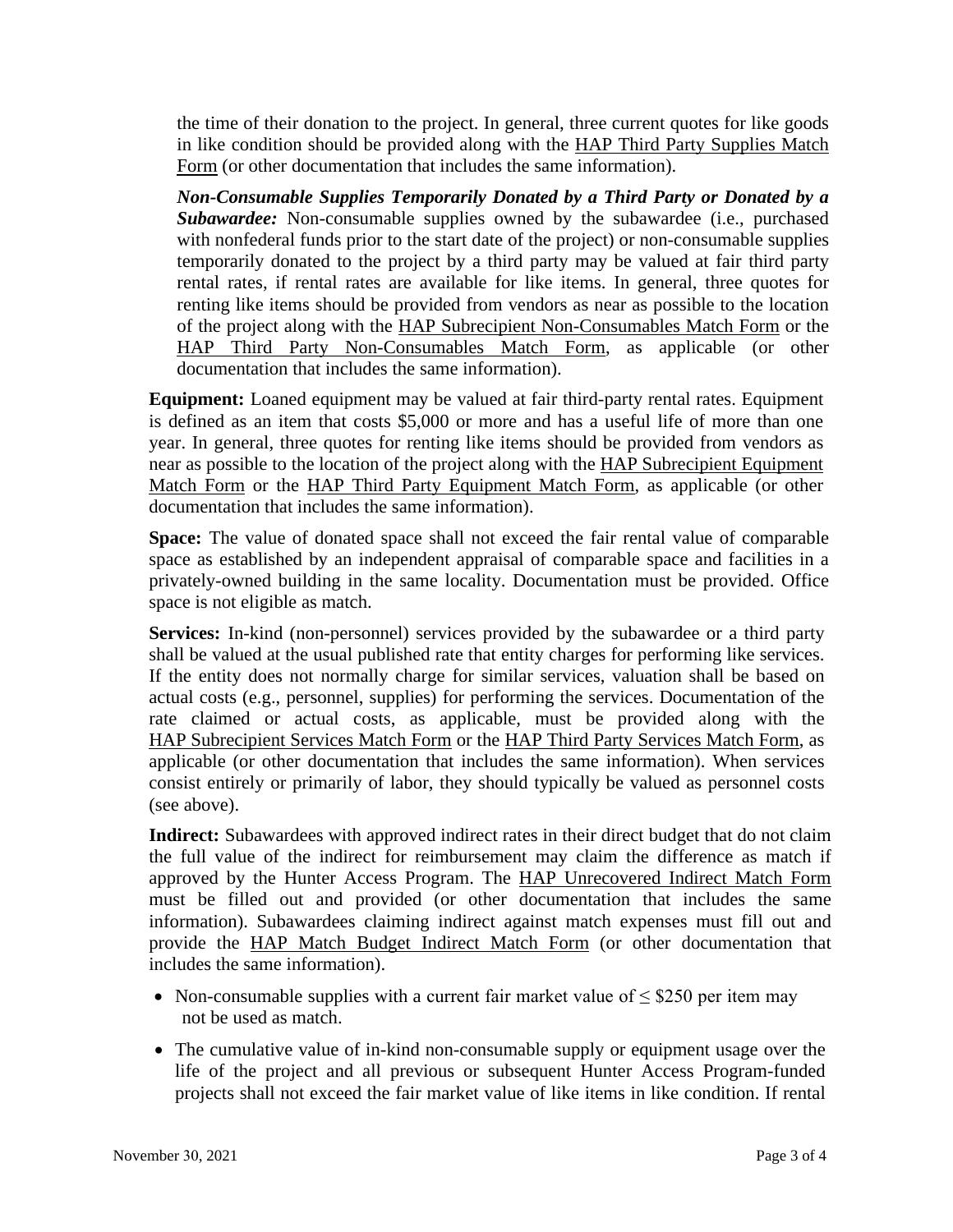the time of their donation to the project. In general, three current quotes for like goods in like condition should be provided along with the HAP Third Party Supplies Match Form (or other documentation that includes the same information).

*Non-Consumable Supplies Temporarily Donated by a Third Party or Donated by a Subawardee:* Non-consumable supplies owned by the subawardee (i.e., purchased with nonfederal funds prior to the start date of the project) or non-consumable supplies temporarily donated to the project by a third party may be valued at fair third party rental rates, if rental rates are available for like items. In general, three quotes for renting like items should be provided from vendors as near as possible to the location of the project along with the HAP Subrecipient Non-Consumables Match Form or the HAP Third Party Non-Consumables Match Form, as applicable (or other documentation that includes the same information).

**Equipment:** Loaned equipment may be valued at fair third-party rental rates. Equipment is defined as an item that costs \$5,000 or more and has a useful life of more than one year. In general, three quotes for renting like items should be provided from vendors as near as possible to the location of the project along with the HAP Subrecipient Equipment Match Form or the HAP Third Party Equipment Match Form, as applicable (or other documentation that includes the same information).

**Space:** The value of donated space shall not exceed the fair rental value of comparable space as established by an independent appraisal of comparable space and facilities in a privately-owned building in the same locality. Documentation must be provided. Office space is not eligible as match.

**Services:** In-kind (non-personnel) services provided by the subawardee or a third party shall be valued at the usual published rate that entity charges for performing like services. If the entity does not normally charge for similar services, valuation shall be based on actual costs (e.g., personnel, supplies) for performing the services. Documentation of the rate claimed or actual costs, as applicable, must be provided along with the HAP Subrecipient Services Match Form or the HAP Third Party Services Match Form, as applicable (or other documentation that includes the same information). When services consist entirely or primarily of labor, they should typically be valued as personnel costs (see above).

**Indirect:** Subawardees with approved indirect rates in their direct budget that do not claim the full value of the indirect for reimbursement may claim the difference as match if approved by the Hunter Access Program. The **HAP Unrecovered Indirect Match Form** must be filled out and provided (or other documentation that includes the same information). Subawardees claiming indirect against match expenses must fill out and provide the HAP Match Budget Indirect Match Form (or other documentation that includes the same information).

- Non-consumable supplies with a current fair market value of  $\leq$  \$250 per item may not be used as match.
- The cumulative value of in-kind non-consumable supply or equipment usage over the life of the project and all previous or subsequent Hunter Access Program-funded projects shall not exceed the fair market value of like items in like condition. If rental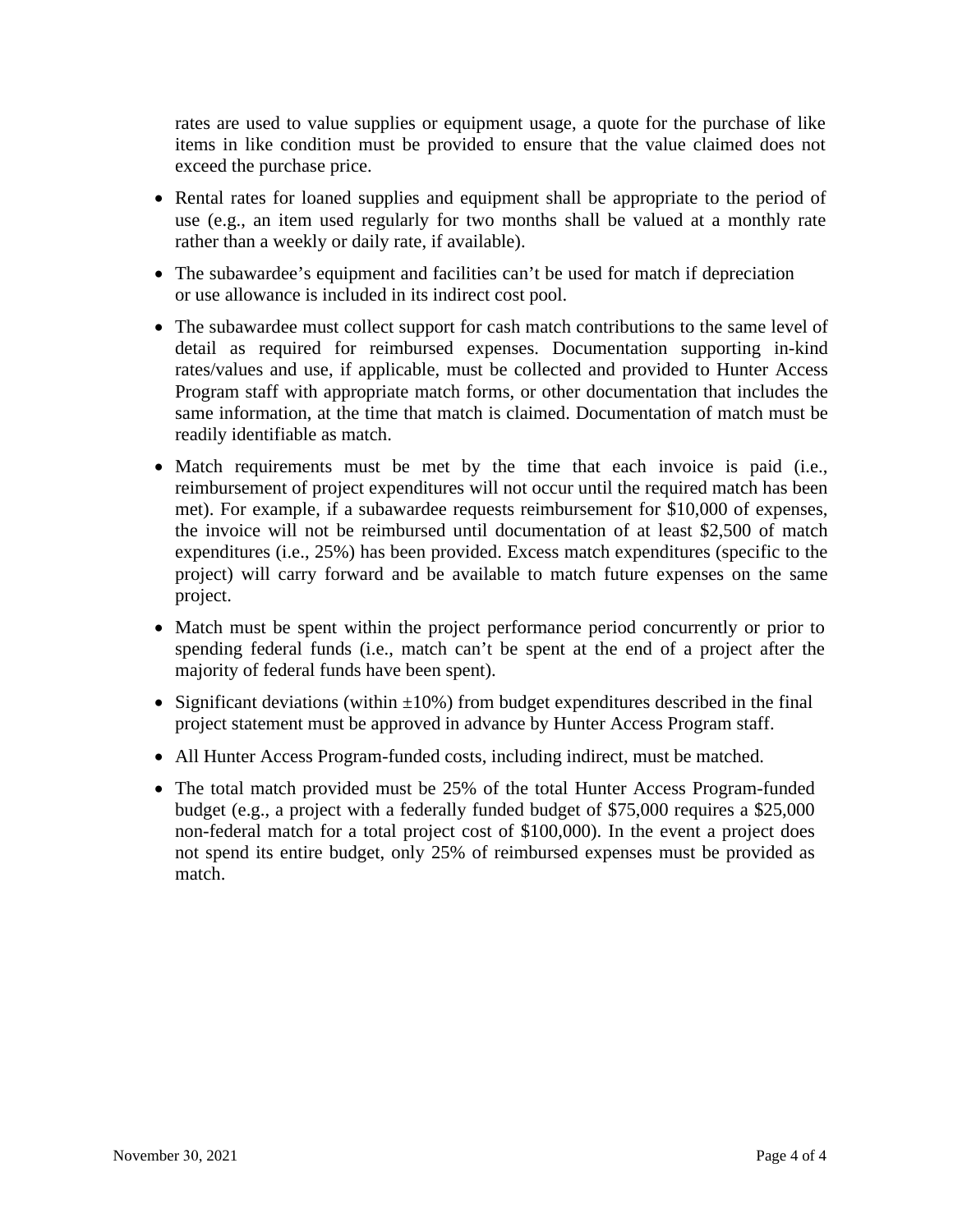rates are used to value supplies or equipment usage, a quote for the purchase of like items in like condition must be provided to ensure that the value claimed does not exceed the purchase price.

- Rental rates for loaned supplies and equipment shall be appropriate to the period of use (e.g., an item used regularly for two months shall be valued at a monthly rate rather than a weekly or daily rate, if available).
- The subawardee's equipment and facilities can't be used for match if depreciation or use allowance is included in its indirect cost pool.
- The subawardee must collect support for cash match contributions to the same level of detail as required for reimbursed expenses. Documentation supporting in-kind rates/values and use, if applicable, must be collected and provided to Hunter Access Program staff with appropriate match forms, or other documentation that includes the same information, at the time that match is claimed. Documentation of match must be readily identifiable as match.
- Match requirements must be met by the time that each invoice is paid (i.e., reimbursement of project expenditures will not occur until the required match has been met). For example, if a subawardee requests reimbursement for \$10,000 of expenses, the invoice will not be reimbursed until documentation of at least \$2,500 of match expenditures (i.e., 25%) has been provided. Excess match expenditures (specific to the project) will carry forward and be available to match future expenses on the same project.
- Match must be spent within the project performance period concurrently or prior to spending federal funds (i.e., match can't be spent at the end of a project after the majority of federal funds have been spent).
- Significant deviations (within  $\pm 10\%$ ) from budget expenditures described in the final project statement must be approved in advance by Hunter Access Program staff.
- All Hunter Access Program-funded costs, including indirect, must be matched.
- The total match provided must be 25% of the total Hunter Access Program-funded budget (e.g., a project with a federally funded budget of \$75,000 requires a \$25,000 non-federal match for a total project cost of \$100,000). In the event a project does not spend its entire budget, only 25% of reimbursed expenses must be provided as match.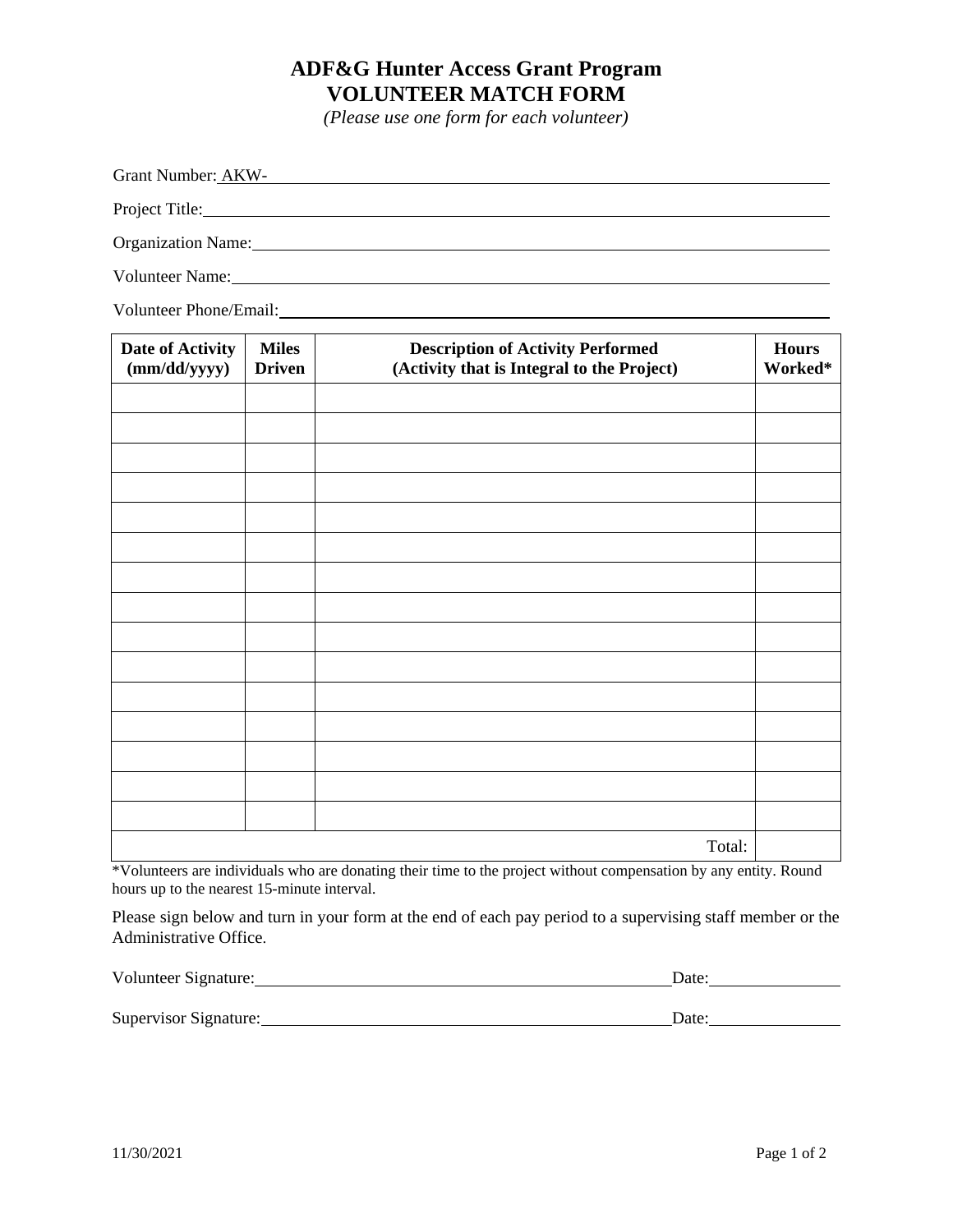# **ADF&G Hunter Access Grant Program VOLUNTEER MATCH FORM**

*(Please use one form for each volunteer)*

Grant Number: AKW-Project Title: Organization Name: Volunteer Name:

Volunteer Phone/Email:

| Date of Activity<br>(mm/dd/yyyy) | <b>Miles</b><br><b>Driven</b> | <b>Description of Activity Performed</b><br>(Activity that is Integral to the Project) | <b>Hours</b><br>Worked* |
|----------------------------------|-------------------------------|----------------------------------------------------------------------------------------|-------------------------|
|                                  |                               |                                                                                        |                         |
|                                  |                               |                                                                                        |                         |
|                                  |                               |                                                                                        |                         |
|                                  |                               |                                                                                        |                         |
|                                  |                               |                                                                                        |                         |
|                                  |                               |                                                                                        |                         |
|                                  |                               |                                                                                        |                         |
|                                  |                               |                                                                                        |                         |
|                                  |                               |                                                                                        |                         |
|                                  |                               |                                                                                        |                         |
|                                  |                               |                                                                                        |                         |
|                                  |                               |                                                                                        |                         |
|                                  |                               |                                                                                        |                         |
|                                  |                               |                                                                                        |                         |
|                                  |                               |                                                                                        |                         |
|                                  |                               | Total:                                                                                 |                         |

\*Volunteers are individuals who are donating their time to the project without compensation by any entity. Round hours up to the nearest 15-minute interval.

Please sign below and turn in your form at the end of each pay period to a supervising staff member or the Administrative Office.

| Supervisor Signature: | iote. |  |
|-----------------------|-------|--|

Volunteer Signature: Date: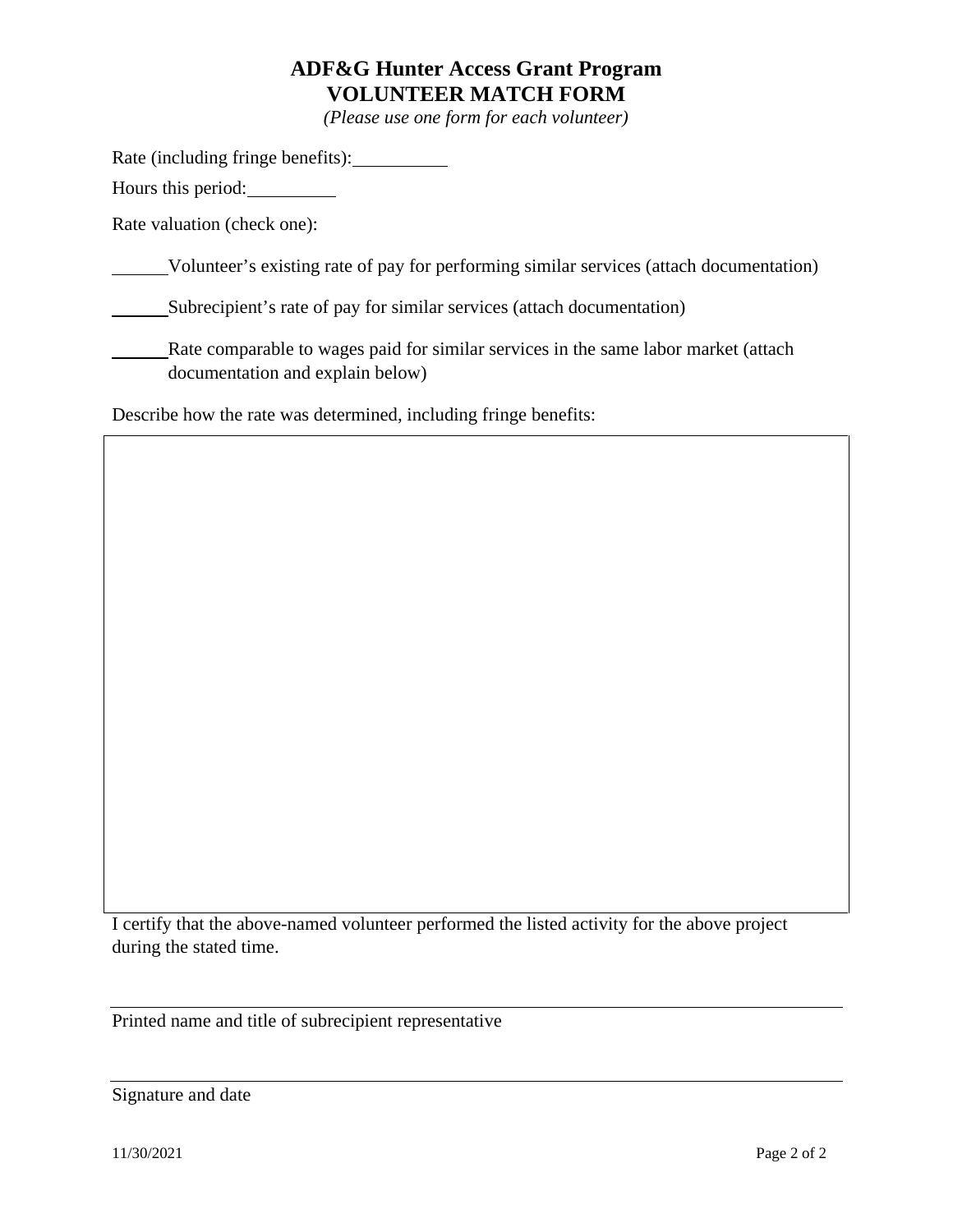# **ADF&G Hunter Access Grant Program VOLUNTEER MATCH FORM**

*(Please use one form for each volunteer)*

Rate (including fringe benefits):

Hours this period:

Rate valuation (check one):

Volunteer's existing rate of pay for performing similar services (attach documentation)

Subrecipient's rate of pay for similar services (attach documentation)

Rate comparable to wages paid for similar services in the same labor market (attach documentation and explain below)

Describe how the rate was determined, including fringe benefits:

I certify that the above-named volunteer performed the listed activity for the above project during the stated time.

Printed name and title of subrecipient representative

Signature and date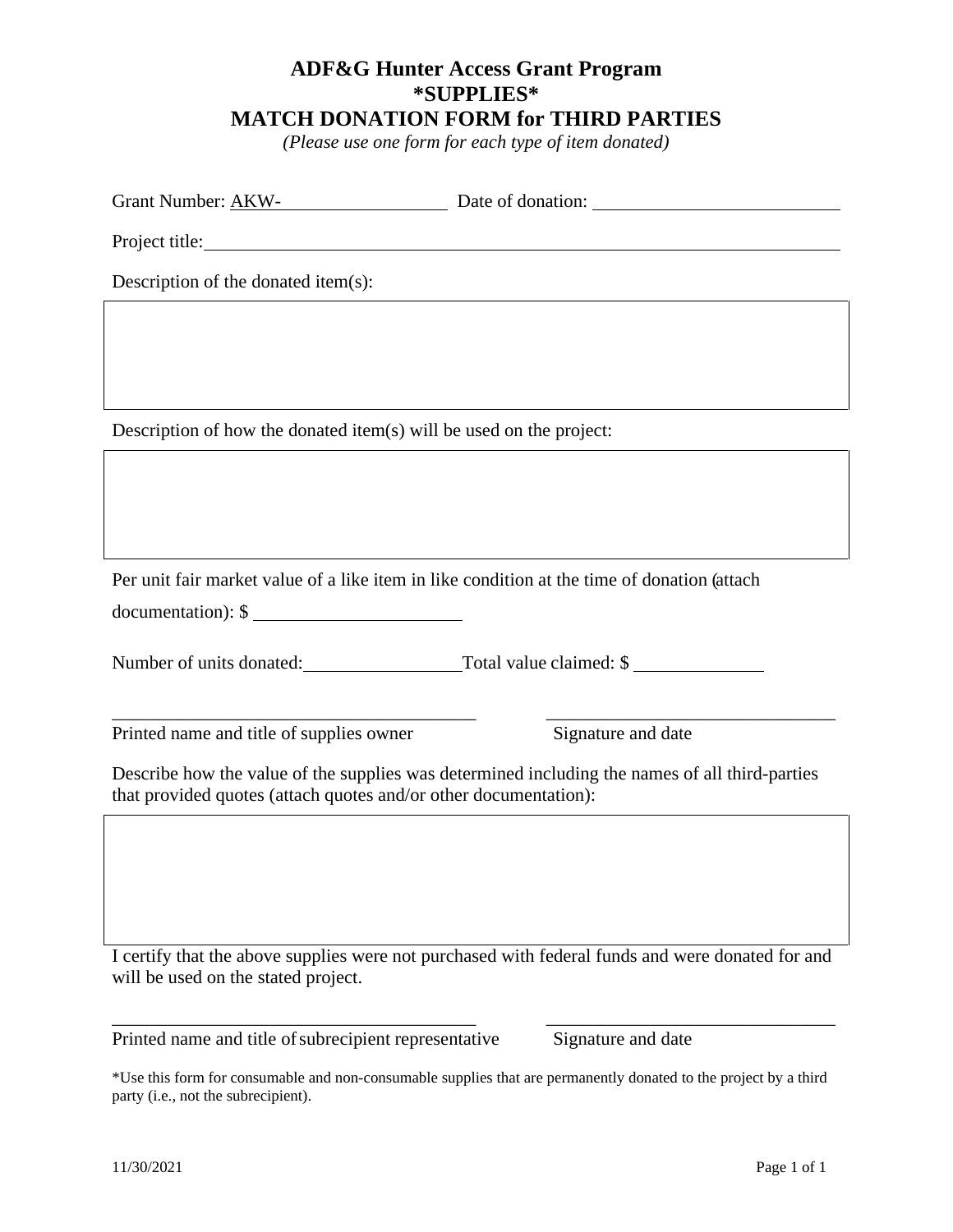#### **ADF&G Hunter Access Grant Program \*SUPPLIES\* MATCH DONATION FORM for THIRD PARTIES**

*(Please use one form for each type of item donated)*

| <b>Grant Number: AKW-</b><br>Date of donation: |
|------------------------------------------------|
|------------------------------------------------|

Project title:

Description of the donated item(s):

Description of how the donated item(s) will be used on the project:

Per unit fair market value of a like item in like condition at the time of donation (attach

documentation): \$

Number of units donated: Total value claimed: \$

Printed name and title of supplies owner Signature and date

Describe how the value of the supplies was determined including the names of all third-parties that provided quotes (attach quotes and/or other documentation):

\_\_\_\_\_\_\_\_\_\_\_\_\_\_\_\_\_\_\_\_\_\_\_\_\_\_\_\_\_\_\_\_\_\_\_\_\_\_\_ \_\_\_\_\_\_\_\_\_\_\_\_\_\_\_\_\_\_\_\_\_\_\_\_\_\_\_\_\_\_\_

I certify that the above supplies were not purchased with federal funds and were donated for and will be used on the stated project.

\_\_\_\_\_\_\_\_\_\_\_\_\_\_\_\_\_\_\_\_\_\_\_\_\_\_\_\_\_\_\_\_\_\_\_\_\_\_\_ \_\_\_\_\_\_\_\_\_\_\_\_\_\_\_\_\_\_\_\_\_\_\_\_\_\_\_\_\_\_\_

Printed name and title of subrecipient representative Signature and date

\*Use this form for consumable and non-consumable supplies that are permanently donated to the project by a third party (i.e., not the subrecipient).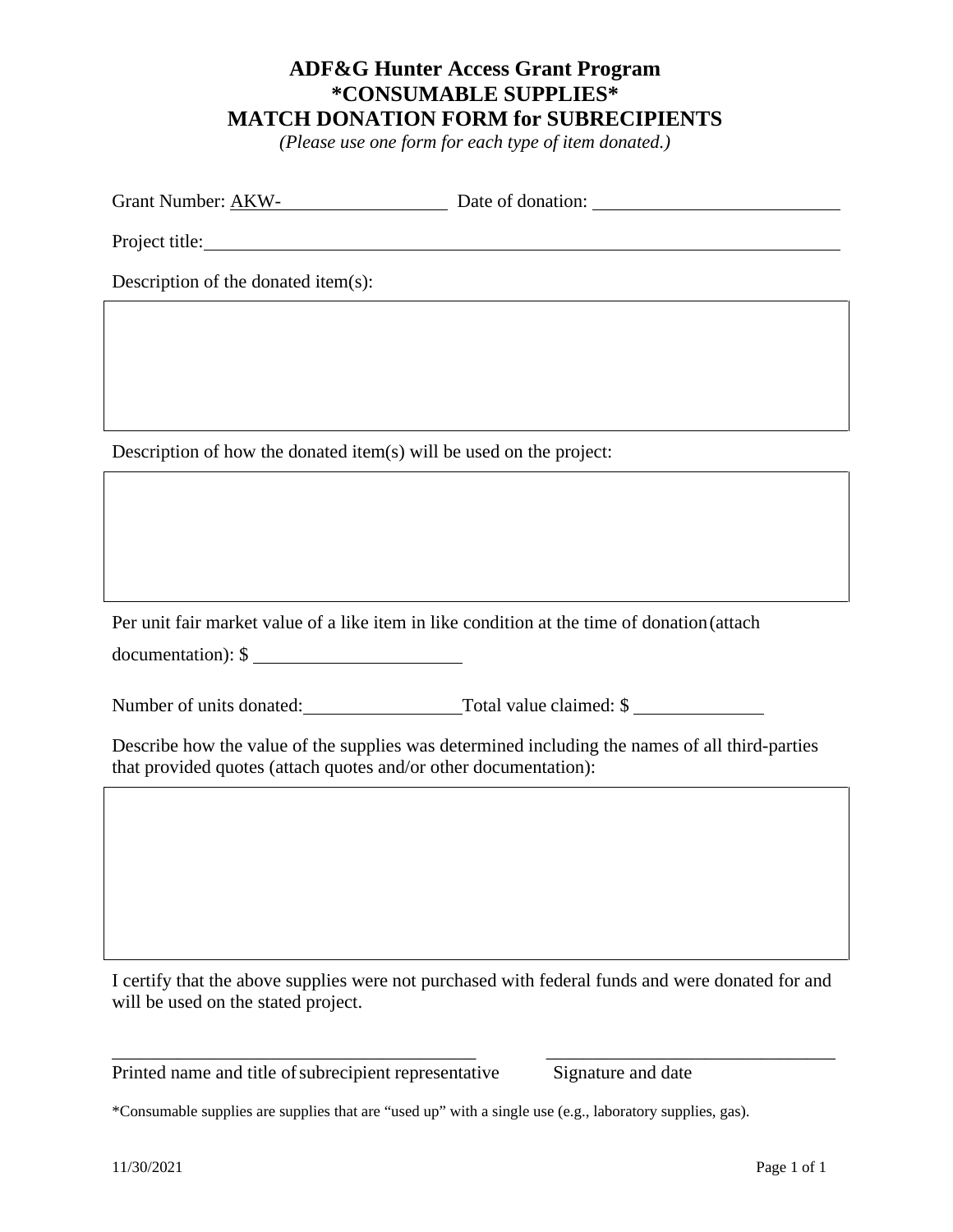#### **ADF&G Hunter Access Grant Program \*CONSUMABLE SUPPLIES\* MATCH DONATION FORM for SUBRECIPIENTS**

*(Please use one form for each type of item donated.)* 

| Grant Number: AKW- | Date of donation: |
|--------------------|-------------------|
|--------------------|-------------------|

Project title:

Description of the donated item(s):

Description of how the donated item(s) will be used on the project:

Per unit fair market value of a like item in like condition at the time of donation (attach documentation): \$

Number of units donated: Total value claimed: \$

Describe how the value of the supplies was determined including the names of all third-parties that provided quotes (attach quotes and/or other documentation):

I certify that the above supplies were not purchased with federal funds and were donated for and will be used on the stated project.

\_\_\_\_\_\_\_\_\_\_\_\_\_\_\_\_\_\_\_\_\_\_\_\_\_\_\_\_\_\_\_\_\_\_\_\_\_\_\_ \_\_\_\_\_\_\_\_\_\_\_\_\_\_\_\_\_\_\_\_\_\_\_\_\_\_\_\_\_\_\_

Printed name and title of subrecipient representative Signature and date

\*Consumable supplies are supplies that are "used up" with a single use (e.g., laboratory supplies, gas).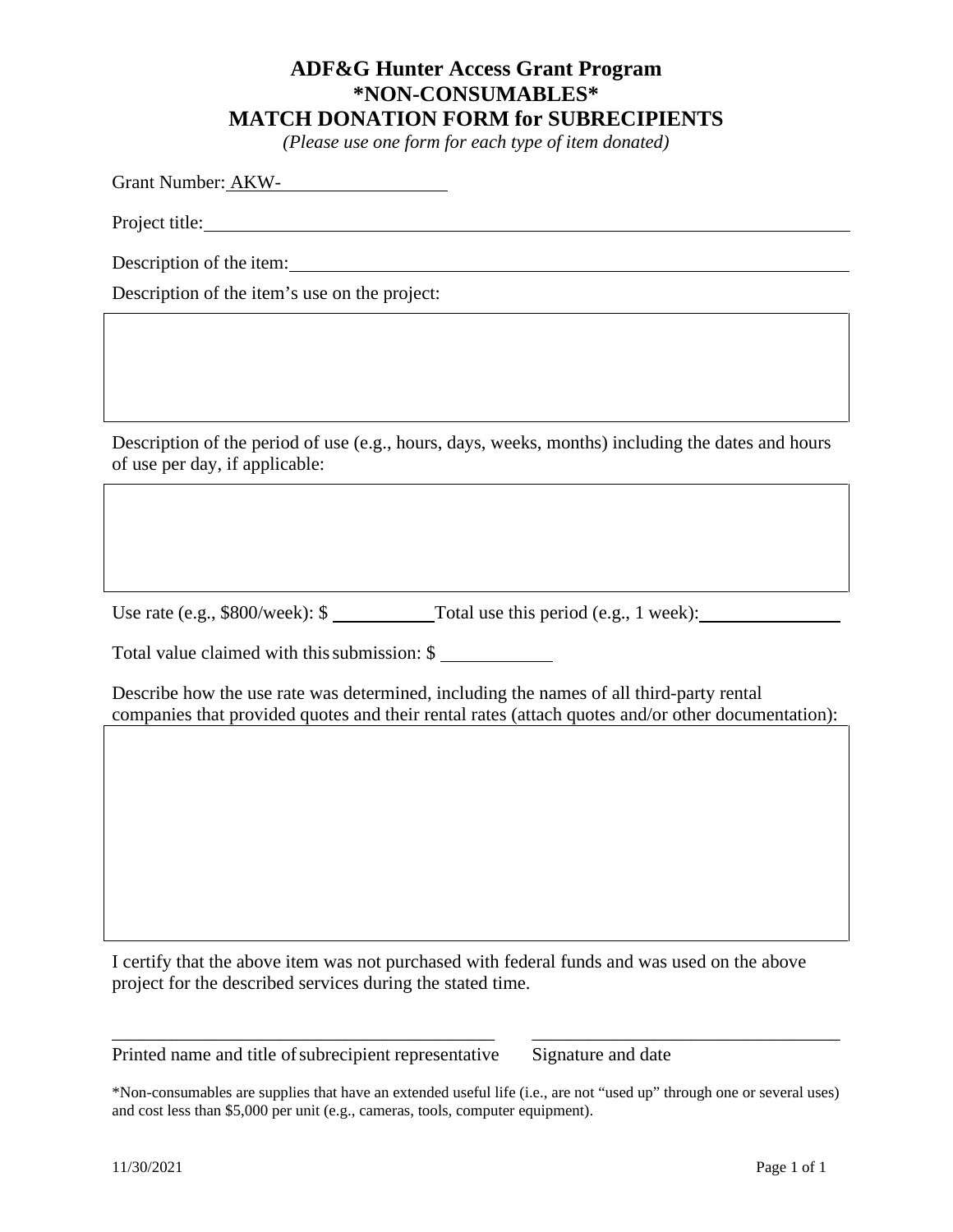#### **ADF&G Hunter Access Grant Program \*NON-CONSUMABLES\* MATCH DONATION FORM for SUBRECIPIENTS**

*(Please use one form for each type of item donated)* 

Grant Number: AKW-

Project title:

Description of the item:

Description of the item's use on the project:

Description of the period of use (e.g., hours, days, weeks, months) including the dates and hours of use per day, if applicable:

Use rate (e.g., \$800/week): \$ Total use this period (e.g., 1 week):

Total value claimed with this submission: \$

Describe how the use rate was determined, including the names of all third-party rental companies that provided quotes and their rental rates (attach quotes and/or other documentation):

I certify that the above item was not purchased with federal funds and was used on the above project for the described services during the stated time.

Printed name and title of subrecipient representative Signature and date

\*Non-consumables are supplies that have an extended useful life (i.e., are not "used up" through one or several uses) and cost less than \$5,000 per unit (e.g., cameras, tools, computer equipment).

\_\_\_\_\_\_\_\_\_\_\_\_\_\_\_\_\_\_\_\_\_\_\_\_\_\_\_\_\_\_\_\_\_\_\_\_\_\_\_\_\_ \_\_\_\_\_\_\_\_\_\_\_\_\_\_\_\_\_\_\_\_\_\_\_\_\_\_\_\_\_\_\_\_\_

11/30/2021 Page 1 of 1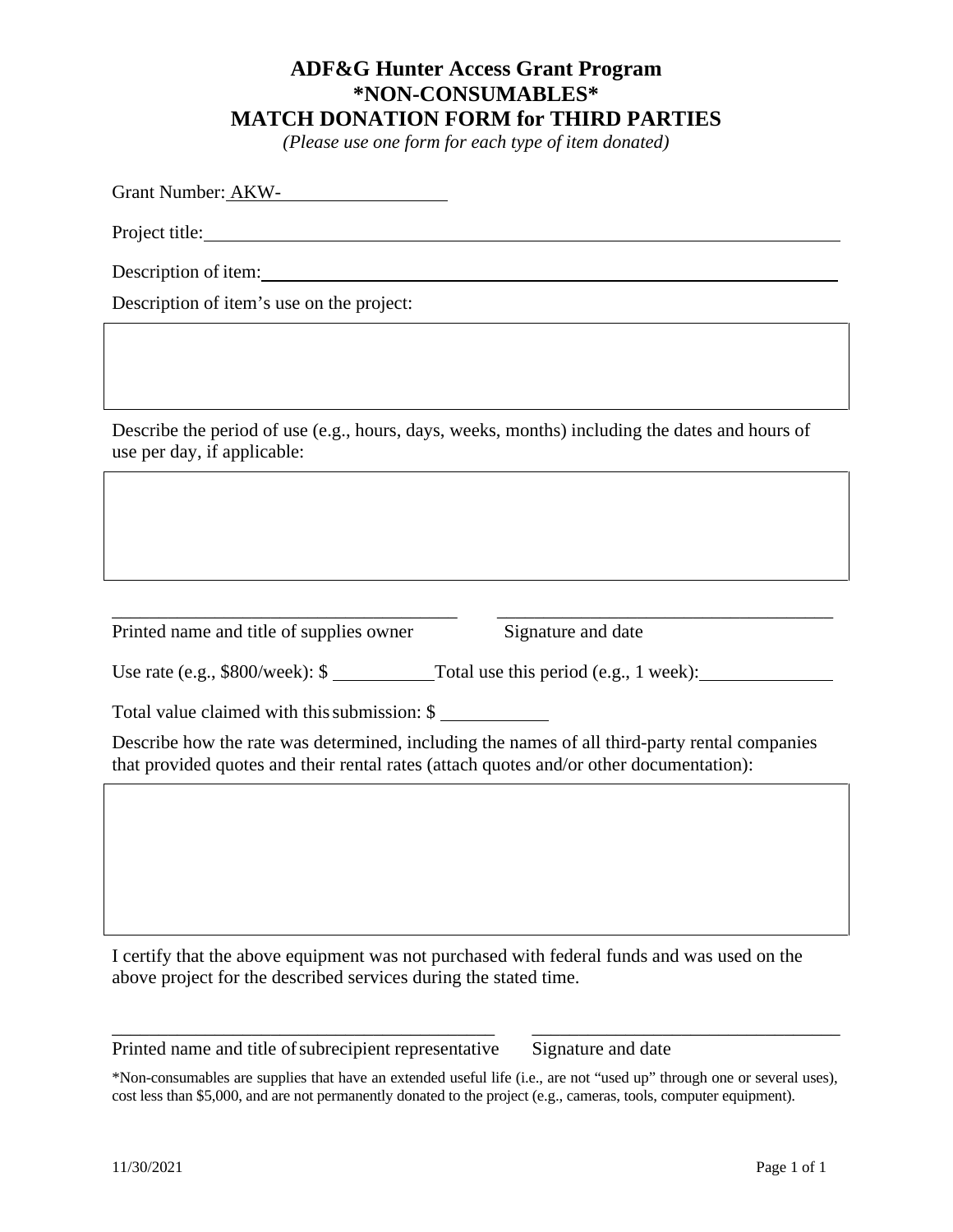#### **ADF&G Hunter Access Grant Program \*NON-CONSUMABLES\* MATCH DONATION FORM for THIRD PARTIES**

*(Please use one form for each type of item donated)* 

Grant Number: AKW-

Project title:

Description of item:

Description of item's use on the project:

Describe the period of use (e.g., hours, days, weeks, months) including the dates and hours of use per day, if applicable:

Printed name and title of supplies owner Signature and date

\_\_\_\_\_\_\_\_\_\_\_\_\_\_\_\_\_\_\_\_\_\_\_\_\_\_\_\_\_\_\_\_\_\_\_\_\_ \_\_\_\_\_\_\_\_\_\_\_\_\_\_\_\_\_\_\_\_\_\_\_\_\_\_\_\_\_\_\_\_\_\_\_\_

Use rate (e.g., \$800/week): \$ Total use this period (e.g., 1 week):

Total value claimed with this submission: \$

Describe how the rate was determined, including the names of all third-party rental companies that provided quotes and their rental rates (attach quotes and/or other documentation):

I certify that the above equipment was not purchased with federal funds and was used on the above project for the described services during the stated time.

Printed name and title of subrecipient representative Signature and date

\*Non-consumables are supplies that have an extended useful life (i.e., are not "used up" through one or several uses), cost less than \$5,000, and are not permanently donated to the project (e.g., cameras, tools, computer equipment).

\_\_\_\_\_\_\_\_\_\_\_\_\_\_\_\_\_\_\_\_\_\_\_\_\_\_\_\_\_\_\_\_\_\_\_\_\_\_\_\_\_ \_\_\_\_\_\_\_\_\_\_\_\_\_\_\_\_\_\_\_\_\_\_\_\_\_\_\_\_\_\_\_\_\_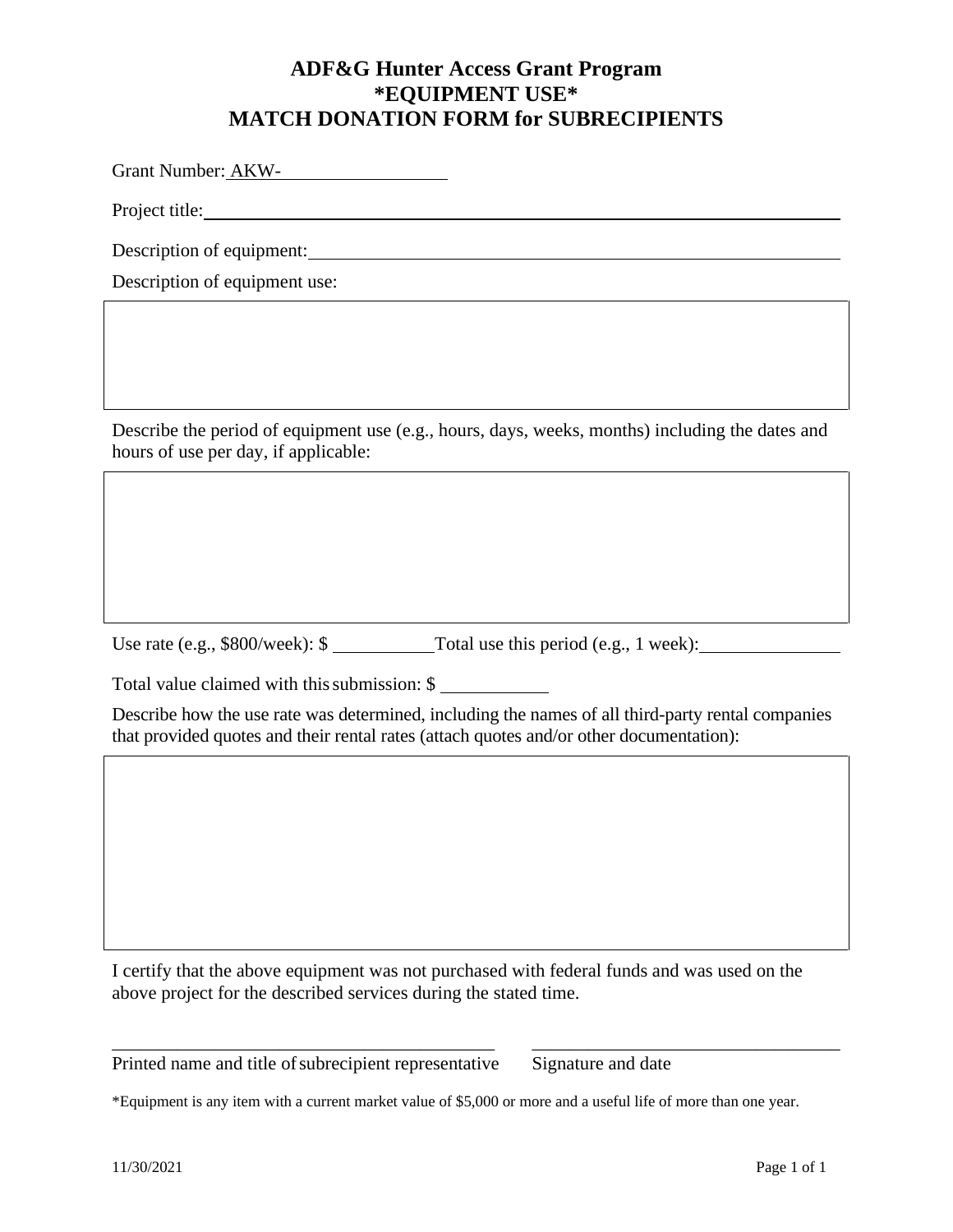### **ADF&G Hunter Access Grant Program \*EQUIPMENT USE\* MATCH DONATION FORM for SUBRECIPIENTS**

Grant Number: AKW-

Project title:

Description of equipment: Next Assembly 2013

Description of equipment use:

Describe the period of equipment use (e.g., hours, days, weeks, months) including the dates and hours of use per day, if applicable:

Use rate (e.g., \$800/week): \$ Total use this period (e.g., 1 week):

Total value claimed with this submission: \$

Describe how the use rate was determined, including the names of all third-party rental companies that provided quotes and their rental rates (attach quotes and/or other documentation):

I certify that the above equipment was not purchased with federal funds and was used on the above project for the described services during the stated time.

\_\_\_\_\_\_\_\_\_\_\_\_\_\_\_\_\_\_\_\_\_\_\_\_\_\_\_\_\_\_\_\_\_\_\_\_\_\_\_\_\_ \_\_\_\_\_\_\_\_\_\_\_\_\_\_\_\_\_\_\_\_\_\_\_\_\_\_\_\_\_\_\_\_\_

Printed name and title of subrecipient representative Signature and date

\*Equipment is any item with a current market value of \$5,000 or more and a useful life of more than one year.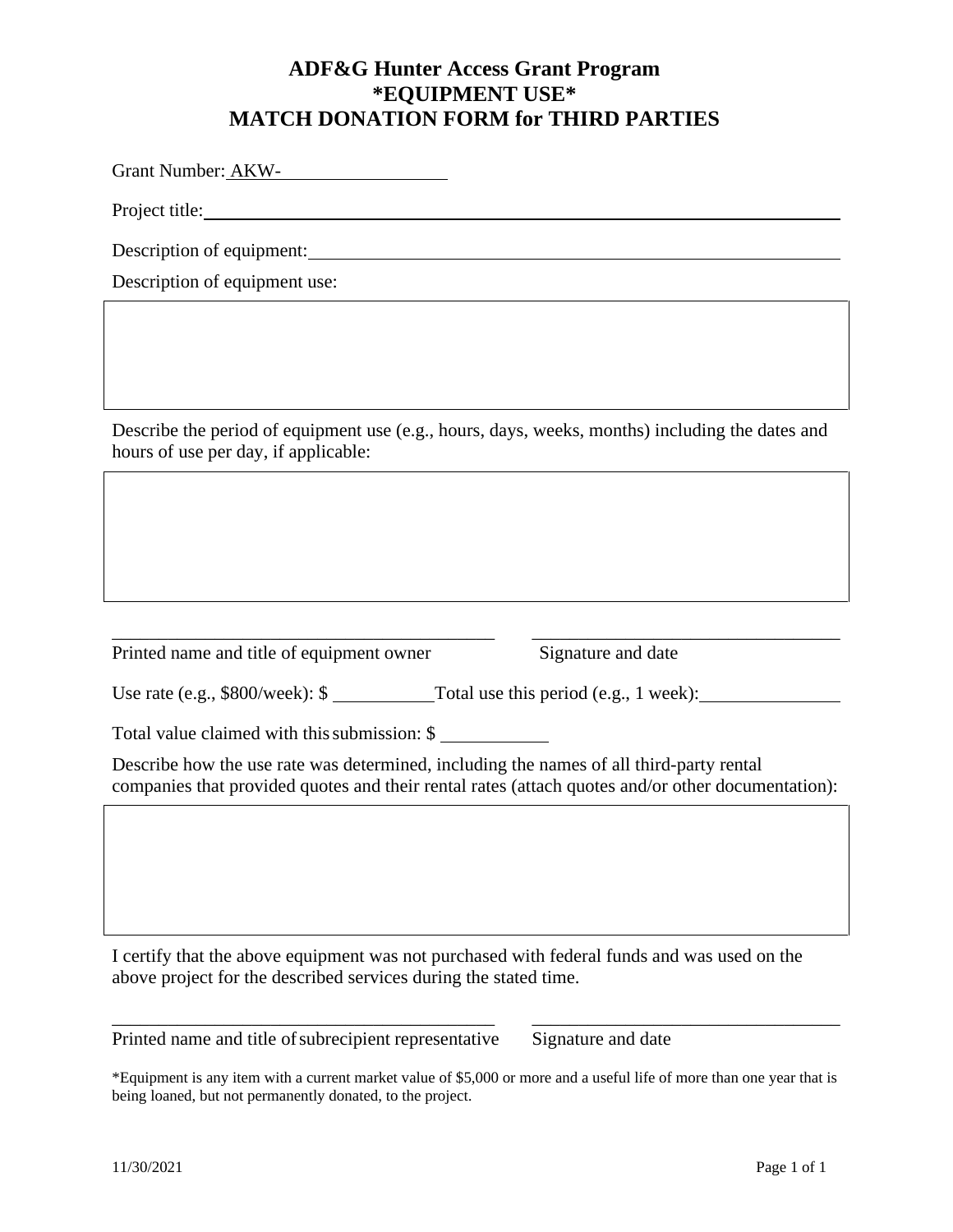#### **ADF&G Hunter Access Grant Program \*EQUIPMENT USE\* MATCH DONATION FORM for THIRD PARTIES**

Grant Number: AKW-

Project title:

Description of equipment:

Description of equipment use:

Describe the period of equipment use (e.g., hours, days, weeks, months) including the dates and hours of use per day, if applicable:

Printed name and title of equipment owner Signature and date

Use rate (e.g., \$800/week): \$ Total use this period (e.g., 1 week):

\_\_\_\_\_\_\_\_\_\_\_\_\_\_\_\_\_\_\_\_\_\_\_\_\_\_\_\_\_\_\_\_\_\_\_\_\_\_\_\_\_ \_\_\_\_\_\_\_\_\_\_\_\_\_\_\_\_\_\_\_\_\_\_\_\_\_\_\_\_\_\_\_\_\_

Total value claimed with this submission: \$

Describe how the use rate was determined, including the names of all third-party rental companies that provided quotes and their rental rates (attach quotes and/or other documentation):

I certify that the above equipment was not purchased with federal funds and was used on the above project for the described services during the stated time.

Printed name and title of subrecipient representative Signature and date

\*Equipment is any item with a current market value of \$5,000 or more and a useful life of more than one year that is being loaned, but not permanently donated, to the project.

\_\_\_\_\_\_\_\_\_\_\_\_\_\_\_\_\_\_\_\_\_\_\_\_\_\_\_\_\_\_\_\_\_\_\_\_\_\_\_\_\_ \_\_\_\_\_\_\_\_\_\_\_\_\_\_\_\_\_\_\_\_\_\_\_\_\_\_\_\_\_\_\_\_\_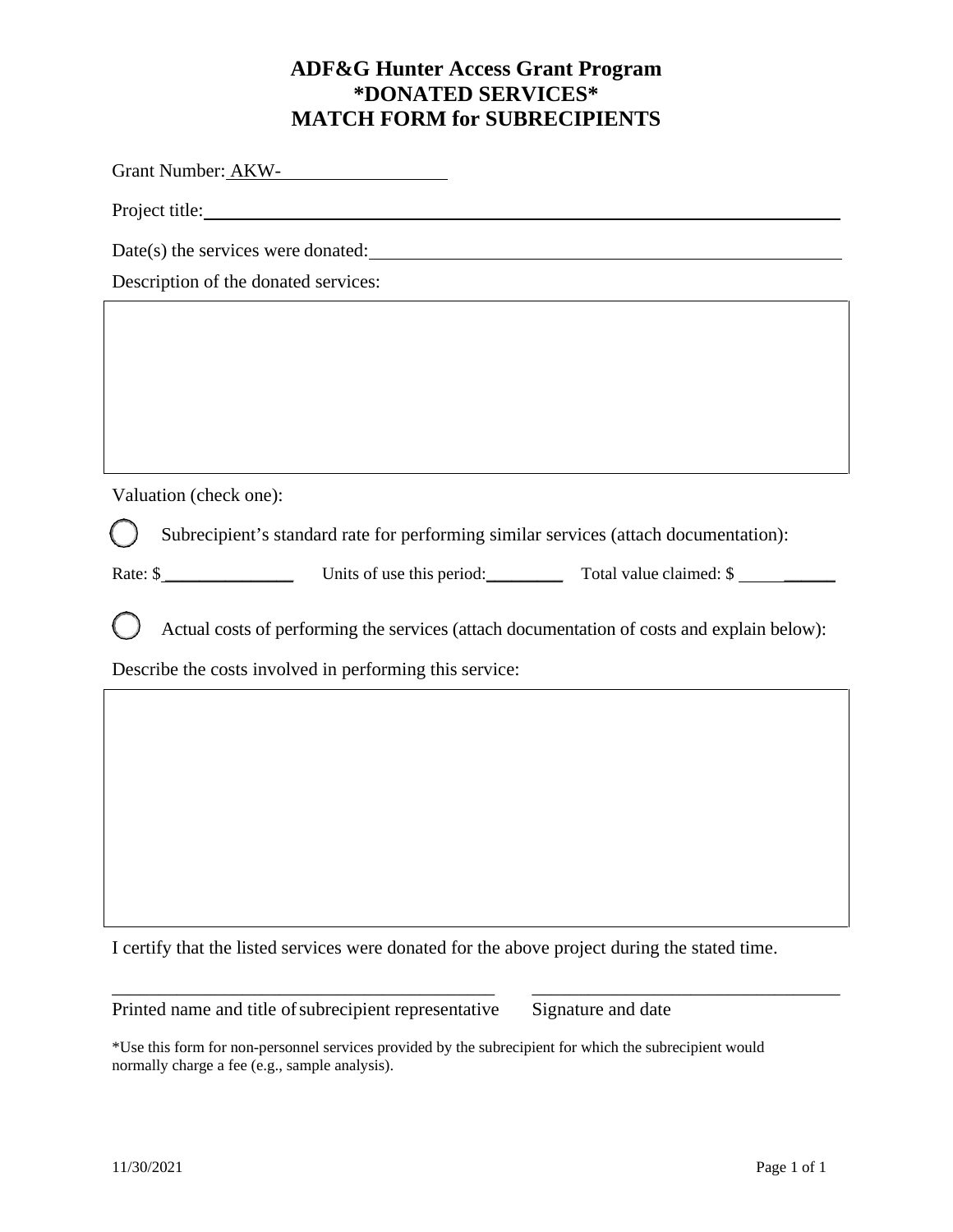### **ADF&G Hunter Access Grant Program \*DONATED SERVICES\* MATCH FORM for SUBRECIPIENTS**

Grant Number: AKW-

Project title:

Date(s) the services were donated:  $\qquad \qquad$ 

Description of the donated services:

Valuation (check one):

Subrecipient's standard rate for performing similar services (attach documentation):

Rate: \$ Units of use this period: Total value claimed: \$

Actual costs of performing the services (attach documentation of costs and explain below):

Describe the costs involved in performing this service:

I certify that the listed services were donated for the above project during the stated time.

\_\_\_\_\_\_\_\_\_\_\_\_\_\_\_\_\_\_\_\_\_\_\_\_\_\_\_\_\_\_\_\_\_\_\_\_\_\_\_\_\_ \_\_\_\_\_\_\_\_\_\_\_\_\_\_\_\_\_\_\_\_\_\_\_\_\_\_\_\_\_\_\_\_\_

Printed name and title of subrecipient representative Signature and date

\*Use this form for non-personnel services provided by the subrecipient for which the subrecipient would normally charge a fee (e.g., sample analysis).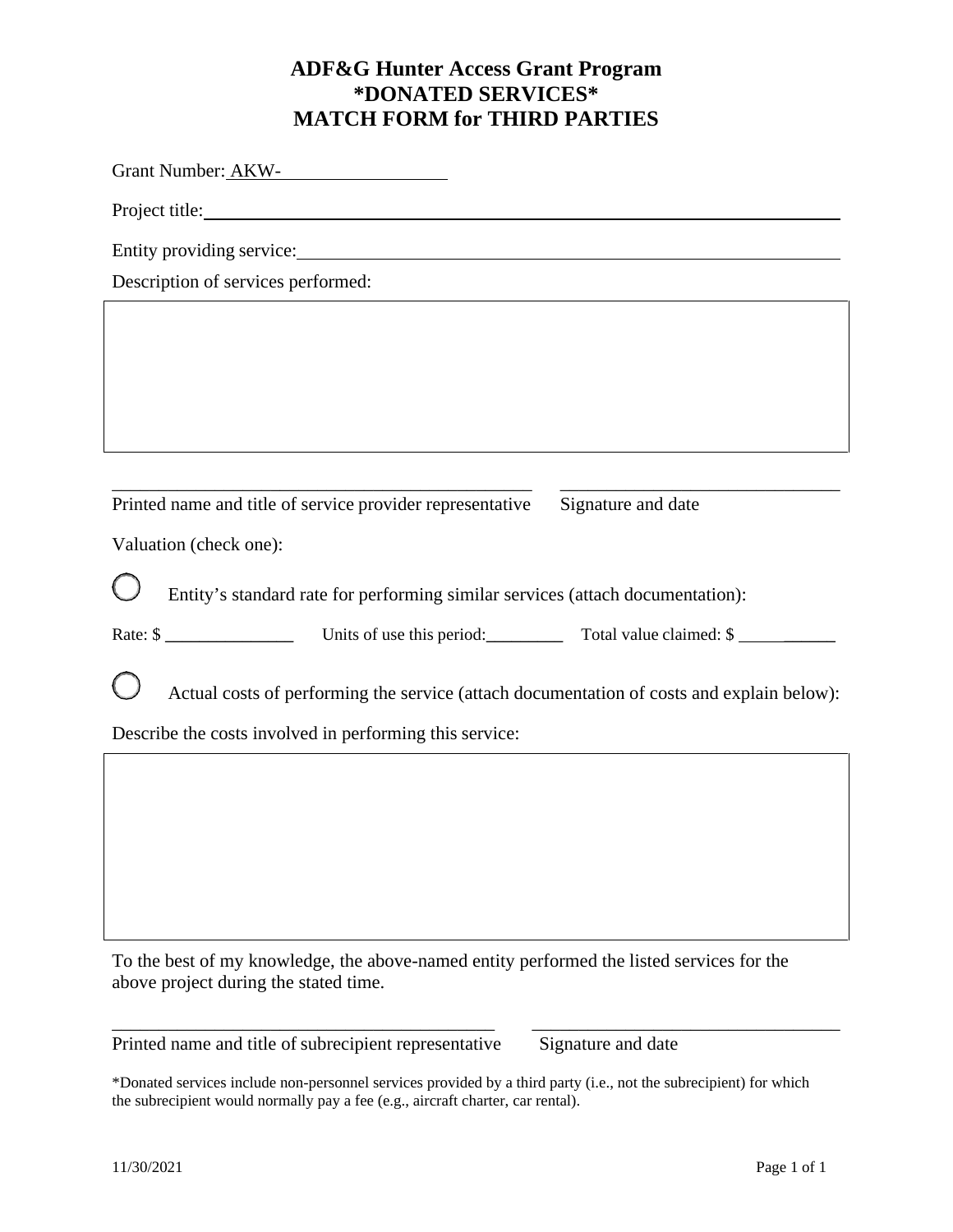### **ADF&G Hunter Access Grant Program \*DONATED SERVICES\* MATCH FORM for THIRD PARTIES**

Grant Number: AKW-

Project title:

Entity providing service:

Description of services performed:

| Printed name and title of service provider representative Signature and date |  |
|------------------------------------------------------------------------------|--|

Valuation (check one):

Entity's standard rate for performing similar services (attach documentation):

| Rate: \$ | Units of use this period: | Total value claimed: \$ |
|----------|---------------------------|-------------------------|
|----------|---------------------------|-------------------------|

Actual costs of performing the service (attach documentation of costs and explain below):

Describe the costs involved in performing this service:

To the best of my knowledge, the above-named entity performed the listed services for the above project during the stated time.

Printed name and title of subrecipient representative Signature and date

\*Donated services include non-personnel services provided by a third party (i.e., not the subrecipient) for which the subrecipient would normally pay a fee (e.g., aircraft charter, car rental).

\_\_\_\_\_\_\_\_\_\_\_\_\_\_\_\_\_\_\_\_\_\_\_\_\_\_\_\_\_\_\_\_\_\_\_\_\_\_\_\_\_ \_\_\_\_\_\_\_\_\_\_\_\_\_\_\_\_\_\_\_\_\_\_\_\_\_\_\_\_\_\_\_\_\_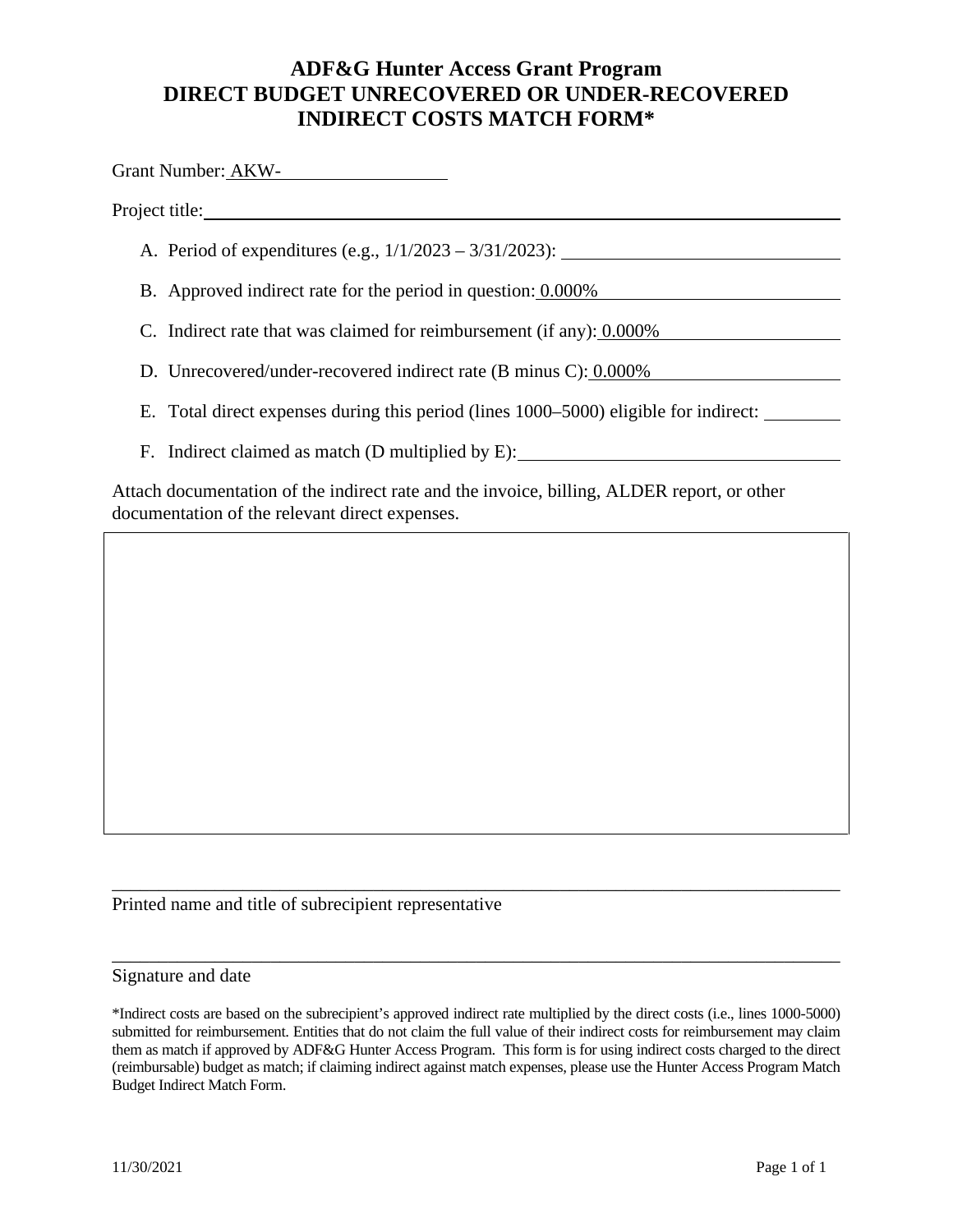#### **ADF&G Hunter Access Grant Program DIRECT BUDGET UNRECOVERED OR UNDER-RECOVERED INDIRECT COSTS MATCH FORM\***

Grant Number: AKW-

Project title:

- A. Period of expenditures (e.g., 1/1/2023 3/31/2023):
- B. Approved indirect rate for the period in question: 0.000%
- C. Indirect rate that was claimed for reimbursement (if any):  $0.000\%$
- D. Unrecovered/under-recovered indirect rate (B minus C): 0.000%
- E. Total direct expenses during this period (lines 1000–5000) eligible for indirect:
- F. Indirect claimed as match (D multiplied by E):

Attach documentation of the indirect rate and the invoice, billing, ALDER report, or other documentation of the relevant direct expenses.

Printed name and title of subrecipient representative

#### Signature and date

\_\_\_\_\_\_\_\_\_\_\_\_\_\_\_\_\_\_\_\_\_\_\_\_\_\_\_\_\_\_\_\_\_\_\_\_\_\_\_\_\_\_\_\_\_\_\_\_\_\_\_\_\_\_\_\_\_\_\_\_\_\_\_\_\_\_\_\_\_\_\_\_\_\_\_\_\_\_

\_\_\_\_\_\_\_\_\_\_\_\_\_\_\_\_\_\_\_\_\_\_\_\_\_\_\_\_\_\_\_\_\_\_\_\_\_\_\_\_\_\_\_\_\_\_\_\_\_\_\_\_\_\_\_\_\_\_\_\_\_\_\_\_\_\_\_\_\_\_\_\_\_\_\_\_\_\_

<sup>\*</sup>Indirect costs are based on the subrecipient's approved indirect rate multiplied by the direct costs (i.e., lines 1000-5000) submitted for reimbursement. Entities that do not claim the full value of their indirect costs for reimbursement may claim them as match if approved by ADF&G Hunter Access Program. This form is for using indirect costs charged to the direct (reimbursable) budget as match; if claiming indirect against match expenses, please use the Hunter Access Program Match Budget Indirect Match Form.